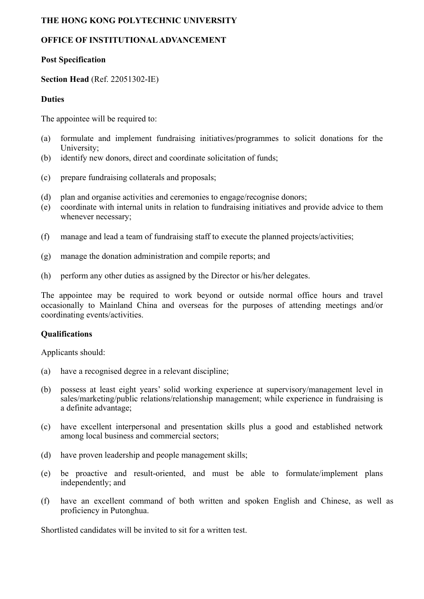## **THE HONG KONG POLYTECHNIC UNIVERSITY**

# **OFFICE OF INSTITUTIONAL ADVANCEMENT**

## **Post Specification**

# **Section Head** (Ref. 22051302-IE)

## **Duties**

The appointee will be required to:

- (a) formulate and implement fundraising initiatives/programmes to solicit donations for the University;
- (b) identify new donors, direct and coordinate solicitation of funds;
- (c) prepare fundraising collaterals and proposals;
- (d) plan and organise activities and ceremonies to engage/recognise donors;
- (e) coordinate with internal units in relation to fundraising initiatives and provide advice to them whenever necessary;
- (f) manage and lead a team of fundraising staff to execute the planned projects/activities;
- (g) manage the donation administration and compile reports; and
- (h) perform any other duties as assigned by the Director or his/her delegates.

The appointee may be required to work beyond or outside normal office hours and travel occasionally to Mainland China and overseas for the purposes of attending meetings and/or coordinating events/activities.

#### **Qualifications**

Applicants should:

- (a) have a recognised degree in a relevant discipline;
- (b) possess at least eight years' solid working experience at supervisory/management level in sales/marketing/public relations/relationship management; while experience in fundraising is a definite advantage;
- (c) have excellent interpersonal and presentation skills plus a good and established network among local business and commercial sectors;
- (d) have proven leadership and people management skills;
- (e) be proactive and result-oriented, and must be able to formulate/implement plans independently; and
- (f) have an excellent command of both written and spoken English and Chinese, as well as proficiency in Putonghua.

Shortlisted candidates will be invited to sit for a written test.